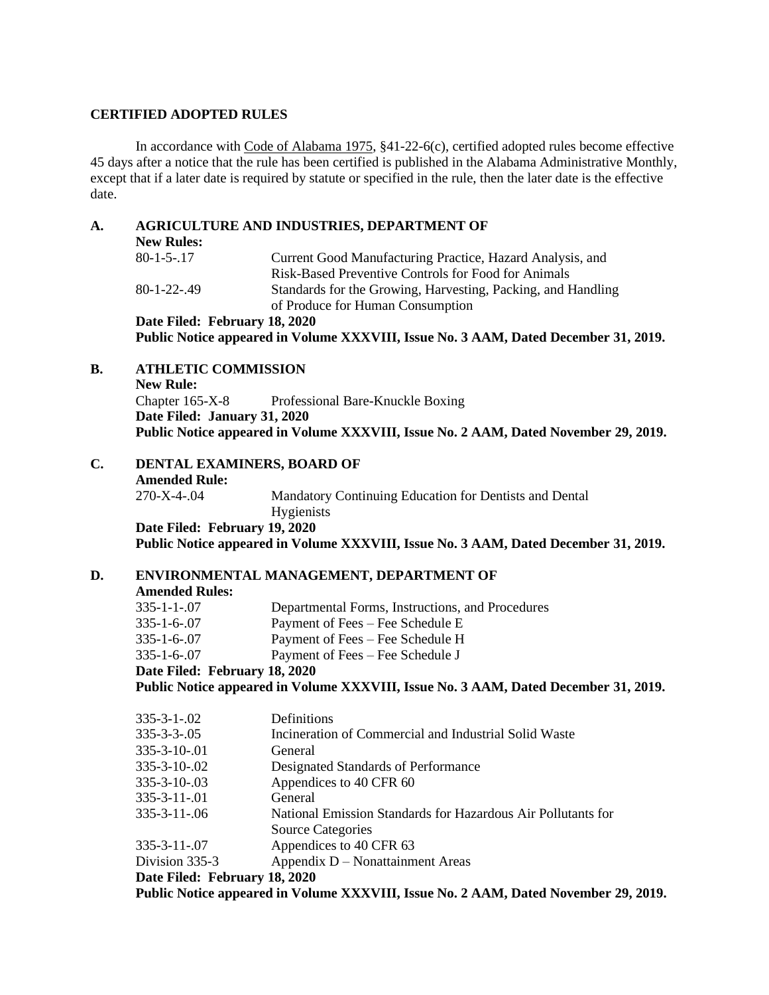### **CERTIFIED ADOPTED RULES**

In accordance with Code of Alabama 1975, §41-22-6(c), certified adopted rules become effective 45 days after a notice that the rule has been certified is published in the Alabama Administrative Monthly, except that if a later date is required by statute or specified in the rule, then the later date is the effective date.

### **A. AGRICULTURE AND INDUSTRIES, DEPARTMENT OF**

| <b>New Rules:</b>  |                                                              |
|--------------------|--------------------------------------------------------------|
| $80 - 1 - 5 - 17$  | Current Good Manufacturing Practice, Hazard Analysis, and    |
|                    | Risk-Based Preventive Controls for Food for Animals          |
| $80 - 1 - 22 - 49$ | Standards for the Growing, Harvesting, Packing, and Handling |
|                    | of Produce for Human Consumption                             |
|                    | Date Filed: February 18, 2020                                |

**Public Notice appeared in Volume XXXVIII, Issue No. 3 AAM, Dated December 31, 2019.**

## **B. ATHLETIC COMMISSION**

**New Rule:** Chapter 165-X-8 Professional Bare-Knuckle Boxing **Date Filed: January 31, 2020 Public Notice appeared in Volume XXXVIII, Issue No. 2 AAM, Dated November 29, 2019.**

**C. DENTAL EXAMINERS, BOARD OF Amended Rule:** 270-X-4-.04 Mandatory Continuing Education for Dentists and Dental Hygienists **Date Filed: February 19, 2020 Public Notice appeared in Volume XXXVIII, Issue No. 3 AAM, Dated December 31, 2019.**

## **D. ENVIRONMENTAL MANAGEMENT, DEPARTMENT OF**

**Amended Rules:**

|             | Date Filed: February 18, 2020                    |  |
|-------------|--------------------------------------------------|--|
| 335-1-6-.07 | Payment of Fees – Fee Schedule J                 |  |
| 335-1-6-.07 | Payment of Fees – Fee Schedule H                 |  |
| 335-1-6-.07 | Payment of Fees – Fee Schedule E                 |  |
| 335-1-1-.07 | Departmental Forms, Instructions, and Procedures |  |
|             |                                                  |  |

**Public Notice appeared in Volume XXXVIII, Issue No. 3 AAM, Dated December 31, 2019.**

| Definitions                                                                         |  |
|-------------------------------------------------------------------------------------|--|
| Incineration of Commercial and Industrial Solid Waste                               |  |
| General                                                                             |  |
| Designated Standards of Performance                                                 |  |
| Appendices to 40 CFR 60                                                             |  |
| General                                                                             |  |
| National Emission Standards for Hazardous Air Pollutants for                        |  |
| <b>Source Categories</b>                                                            |  |
| Appendices to 40 CFR 63                                                             |  |
| Appendix D – Nonattainment Areas                                                    |  |
| Date Filed: February 18, 2020                                                       |  |
| Public Notice appeared in Volume XXXVIII, Issue No. 2 AAM, Dated November 29, 2019. |  |
|                                                                                     |  |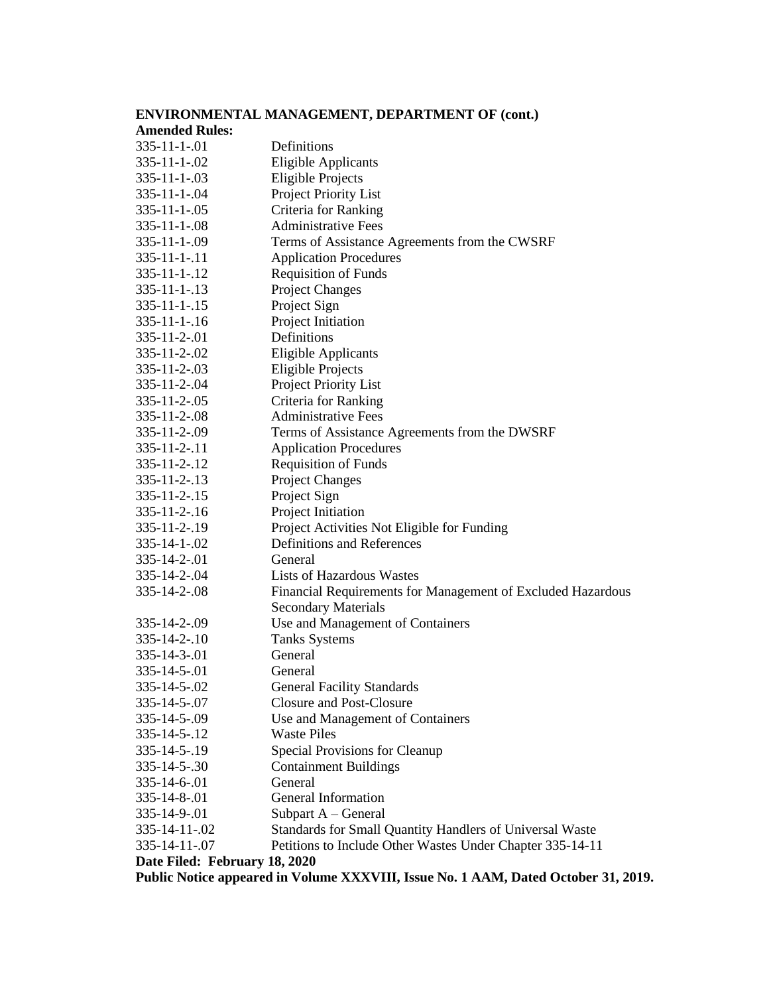|                                                                                    | ENVIRONMENTAL MANAGEMENT, DEPARTMENT OF (cont.)             |  |  |
|------------------------------------------------------------------------------------|-------------------------------------------------------------|--|--|
| <b>Amended Rules:</b>                                                              |                                                             |  |  |
| $335 - 11 - 1 - 01$                                                                | Definitions                                                 |  |  |
| $335 - 11 - 1 - 02$                                                                | <b>Eligible Applicants</b>                                  |  |  |
| $335 - 11 - 1 - 03$                                                                | <b>Eligible Projects</b>                                    |  |  |
| $335 - 11 - 1 - 04$                                                                | Project Priority List                                       |  |  |
| $335 - 11 - 1 - 05$                                                                | Criteria for Ranking                                        |  |  |
| $335 - 11 - 1 - 08$                                                                | <b>Administrative Fees</b>                                  |  |  |
| $335 - 11 - 1 - 09$                                                                | Terms of Assistance Agreements from the CWSRF               |  |  |
| $335 - 11 - 1 - 11$                                                                | <b>Application Procedures</b>                               |  |  |
| $335 - 11 - 1 - 12$                                                                | <b>Requisition of Funds</b>                                 |  |  |
| $335 - 11 - 1 - 13$                                                                | <b>Project Changes</b>                                      |  |  |
| $335 - 11 - 1 - 15$                                                                | Project Sign                                                |  |  |
| $335 - 11 - 1 - 16$                                                                | Project Initiation                                          |  |  |
| $335 - 11 - 2 - 01$                                                                | Definitions                                                 |  |  |
| 335-11-2-.02                                                                       | <b>Eligible Applicants</b>                                  |  |  |
| $335 - 11 - 2 - 03$                                                                | <b>Eligible Projects</b>                                    |  |  |
| 335-11-2-.04                                                                       | Project Priority List                                       |  |  |
| 335-11-2-.05                                                                       | Criteria for Ranking                                        |  |  |
| 335-11-2-.08                                                                       | <b>Administrative Fees</b>                                  |  |  |
| 335-11-2-.09                                                                       | Terms of Assistance Agreements from the DWSRF               |  |  |
| $335 - 11 - 2 - 11$                                                                | <b>Application Procedures</b>                               |  |  |
| 335-11-2-.12                                                                       | <b>Requisition of Funds</b>                                 |  |  |
| 335-11-2-.13                                                                       | <b>Project Changes</b>                                      |  |  |
| $335 - 11 - 2 - 15$                                                                | Project Sign                                                |  |  |
| $335 - 11 - 2 - 16$                                                                | Project Initiation                                          |  |  |
| 335-11-2-.19                                                                       | Project Activities Not Eligible for Funding                 |  |  |
| $335 - 14 - 1 - 02$                                                                | Definitions and References                                  |  |  |
| 335-14-2-.01                                                                       | General                                                     |  |  |
| 335-14-2-.04                                                                       | <b>Lists of Hazardous Wastes</b>                            |  |  |
| 335-14-2-.08                                                                       | Financial Requirements for Management of Excluded Hazardous |  |  |
|                                                                                    | <b>Secondary Materials</b>                                  |  |  |
| 335-14-2-.09                                                                       | Use and Management of Containers                            |  |  |
| $335 - 14 - 2 - 10$                                                                | <b>Tanks Systems</b>                                        |  |  |
| 335-14-3-.01                                                                       | General                                                     |  |  |
| 335-14-5-.01                                                                       | General                                                     |  |  |
| 335-14-5-.02                                                                       | <b>General Facility Standards</b>                           |  |  |
| 335-14-5-.07                                                                       | Closure and Post-Closure                                    |  |  |
| 335-14-5-.09                                                                       | Use and Management of Containers                            |  |  |
| 335-14-5-.12                                                                       | <b>Waste Piles</b>                                          |  |  |
| 335-14-5-.19                                                                       | Special Provisions for Cleanup                              |  |  |
| 335-14-5-.30                                                                       | <b>Containment Buildings</b>                                |  |  |
| $335 - 14 - 6 - 01$                                                                | General                                                     |  |  |
| $335 - 14 - 8 - 01$                                                                | General Information                                         |  |  |
| 335-14-9-.01                                                                       | Subpart A – General                                         |  |  |
| 335-14-11-.02                                                                      | Standards for Small Quantity Handlers of Universal Waste    |  |  |
| 335-14-11-.07                                                                      | Petitions to Include Other Wastes Under Chapter 335-14-11   |  |  |
| Date Filed: February 18, 2020                                                      |                                                             |  |  |
| Public Notice appeared in Volume XXXVIII, Issue No. 1 AAM, Dated October 31, 2019. |                                                             |  |  |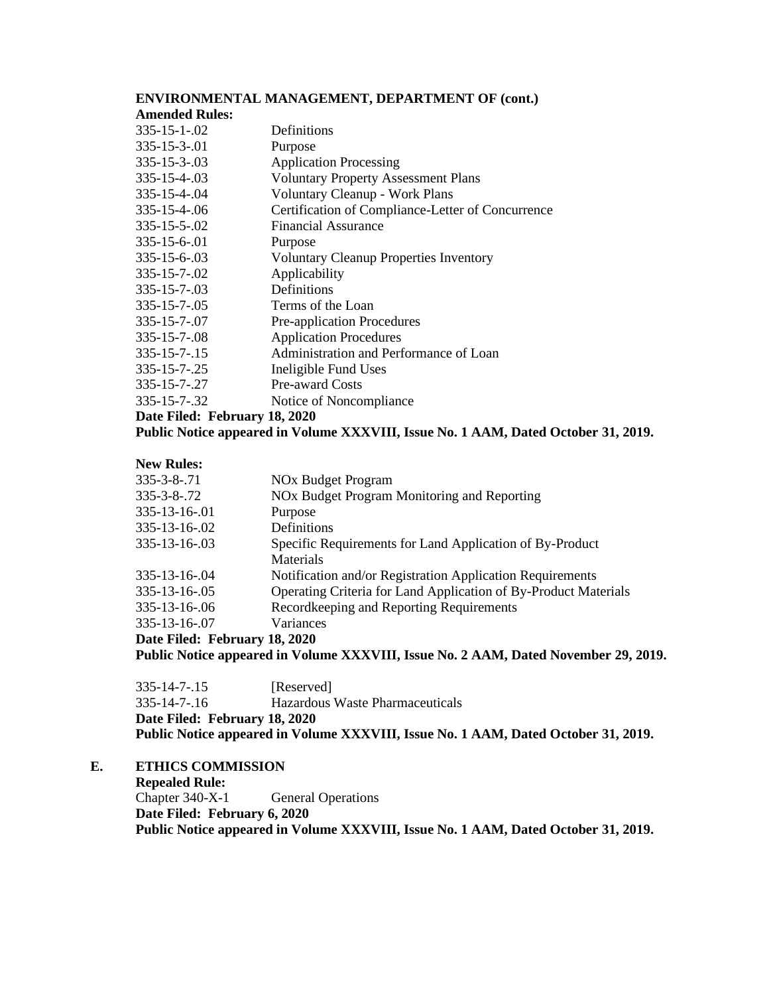## **ENVIRONMENTAL MANAGEMENT, DEPARTMENT OF (cont.) Amended Rules:** [335-15-1-.02](http://www.alabamaadministrativecode.state.al.us/UpdatedMonthly/AAM-OCT-19/335-15-1-.02.pdf) Definitions [335-15-3-.01](http://www.alabamaadministrativecode.state.al.us/UpdatedMonthly/AAM-OCT-19/335-15-3.pdf) Purpose 335-15-3-.03 [Application Processing](http://www.alabamaadministrativecode.state.al.us/UpdatedMonthly/AAM-OCT-19/335-15-3.pdf) 335-15-4-.03 [Voluntary Property Assessment Plans](http://www.alabamaadministrativecode.state.al.us/UpdatedMonthly/AAM-OCT-19/335-15-4.pdf) 335-15-4-.04 [Voluntary Cleanup -](http://www.alabamaadministrativecode.state.al.us/UpdatedMonthly/AAM-OCT-19/335-15-4.pdf) Work Plans 335-15-4-.06 [Certification of Compliance-Letter of Concurrence](http://www.alabamaadministrativecode.state.al.us/UpdatedMonthly/AAM-OCT-19/335-15-4.pdf)  335-15-5-.02 [Financial Assurance](http://www.alabamaadministrativecode.state.al.us/UpdatedMonthly/AAM-OCT-19/335-15-5.pdf) 335-15-6-.01 Purpose 335-15-6-.03 [Voluntary Cleanup Properties Inventory](http://www.alabamaadministrativecode.state.al.us/UpdatedMonthly/AAM-OCT-19/335-15-6.pdf) 335-15-7-.02 [Applicability](http://www.alabamaadministrativecode.state.al.us/UpdatedMonthly/AAM-OCT-19/335-15-7.pdf) [335-15-7-.03](http://www.alabamaadministrativecode.state.al.us/UpdatedMonthly/AAM-OCT-19/335-15-7.pdf) Definitions 335-15-7-.05 [Terms of the Loan](http://www.alabamaadministrativecode.state.al.us/UpdatedMonthly/AAM-OCT-19/335-15-7.pdf) 335-15-7-.07 [Pre-application Procedures](http://www.alabamaadministrativecode.state.al.us/UpdatedMonthly/AAM-OCT-19/335-15-7.pdf) 335-15-7-.08 [Application Procedures](http://www.alabamaadministrativecode.state.al.us/UpdatedMonthly/AAM-OCT-19/335-15-7.pdf) 335-15-7-.15 [Administration and Performance of Loan](http://www.alabamaadministrativecode.state.al.us/UpdatedMonthly/AAM-OCT-19/335-15-7.pdf) 335-15-7-.25 Ineligible Fund Uses 335-15-7-.27 [Pre-award Costs](http://www.alabamaadministrativecode.state.al.us/UpdatedMonthly/AAM-OCT-19/335-15-7.pdf) 335-15-7-.32 [Notice of Noncompliance](http://www.alabamaadministrativecode.state.al.us/UpdatedMonthly/AAM-OCT-19/335-15-7.pdf) **Date Filed: February 18, 2020 Public Notice appeared in Volume XXXVIII, Issue No. 1 AAM, Dated October 31, 2019.**

#### **New Rules:**

| 335-3-8-.72                   | NOx Budget Program Monitoring and Reporting                     |
|-------------------------------|-----------------------------------------------------------------|
|                               |                                                                 |
| 335-13-16-.01                 | Purpose                                                         |
| 335-13-16-.02                 | Definitions                                                     |
| 335-13-16-.03                 | Specific Requirements for Land Application of By-Product        |
|                               | <b>Materials</b>                                                |
| 335-13-16-.04                 | Notification and/or Registration Application Requirements       |
| 335-13-16-.05                 | Operating Criteria for Land Application of By-Product Materials |
| 335-13-16-.06                 | Recordkeeping and Reporting Requirements                        |
| 335-13-16-.07                 | Variances                                                       |
| Date Filed: February 18, 2020 |                                                                 |
|                               |                                                                 |

**Public Notice appeared in Volume XXXVIII, Issue No. 2 AAM, Dated November 29, 2019.**

| Date Filed: February 18, 2020<br>Public Notice appeared in Volume XXXVIII, Issue No. 1 AAM, Dated October 31, 2019. |                                 |
|---------------------------------------------------------------------------------------------------------------------|---------------------------------|
|                                                                                                                     |                                 |
| $335 - 14 - 7 - 16$                                                                                                 | Hazardous Waste Pharmaceuticals |
| $335 - 14 - 7 - 15$                                                                                                 | [Reserved]                      |
|                                                                                                                     |                                 |

## **E. ETHICS COMMISSION**

**Repealed Rule:** Chapter 340-X-1 General Operations **Date Filed: February 6, 2020 Public Notice appeared in Volume XXXVIII, Issue No. 1 AAM, Dated October 31, 2019.**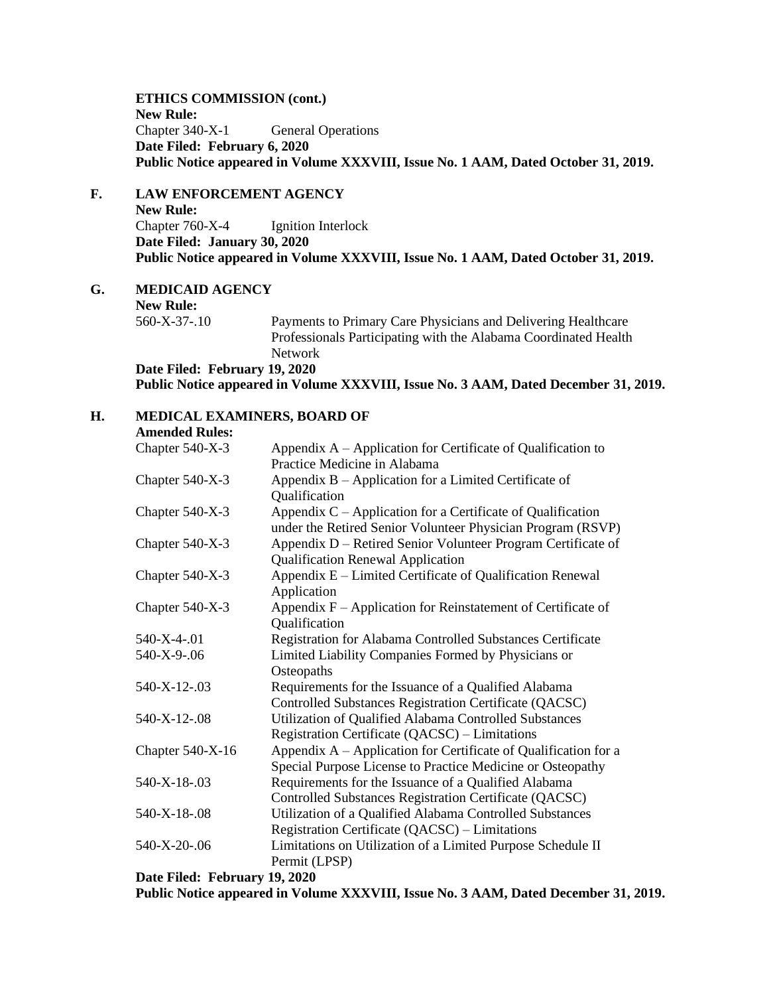**ETHICS COMMISSION (cont.) New Rule:** Chapter 340-X-1 General Operations **Date Filed: February 6, 2020 Public Notice appeared in Volume XXXVIII, Issue No. 1 AAM, Dated October 31, 2019.**

# **F. LAW ENFORCEMENT AGENCY**

**New Rule:** Chapter 760-X-4 Ignition Interlock **Date Filed: January 30, 2020 Public Notice appeared in Volume XXXVIII, Issue No. 1 AAM, Dated October 31, 2019.**

**G. MEDICAID AGENCY**

**New Rule:**

560-X-37-.10 Payments to Primary Care Physicians and Delivering Healthcare Professionals Participating with the Alabama Coordinated Health Network **Date Filed: February 19, 2020**

**Public Notice appeared in Volume XXXVIII, Issue No. 3 AAM, Dated December 31, 2019.**

## **H. MEDICAL EXAMINERS, BOARD OF**

| <b>Amended Rules:</b>                                                                                                                |                                                                                                                              |
|--------------------------------------------------------------------------------------------------------------------------------------|------------------------------------------------------------------------------------------------------------------------------|
| Chapter 540-X-3                                                                                                                      | Appendix A – Application for Certificate of Qualification to                                                                 |
|                                                                                                                                      | Practice Medicine in Alabama                                                                                                 |
| Chapter 540-X-3                                                                                                                      | Appendix $B -$ Application for a Limited Certificate of                                                                      |
|                                                                                                                                      | Qualification                                                                                                                |
| Chapter 540-X-3                                                                                                                      | Appendix $C$ – Application for a Certificate of Qualification<br>under the Retired Senior Volunteer Physician Program (RSVP) |
| Chapter 540-X-3                                                                                                                      | Appendix D – Retired Senior Volunteer Program Certificate of                                                                 |
|                                                                                                                                      | <b>Qualification Renewal Application</b>                                                                                     |
| Chapter 540-X-3                                                                                                                      | Appendix E - Limited Certificate of Qualification Renewal                                                                    |
|                                                                                                                                      | Application                                                                                                                  |
| Chapter 540-X-3                                                                                                                      | Appendix $F -$ Application for Reinstatement of Certificate of                                                               |
|                                                                                                                                      | Qualification                                                                                                                |
| 540-X-4-.01                                                                                                                          | Registration for Alabama Controlled Substances Certificate                                                                   |
| 540-X-9-.06                                                                                                                          | Limited Liability Companies Formed by Physicians or                                                                          |
|                                                                                                                                      | Osteopaths                                                                                                                   |
| 540-X-12-.03                                                                                                                         | Requirements for the Issuance of a Qualified Alabama                                                                         |
|                                                                                                                                      | Controlled Substances Registration Certificate (QACSC)                                                                       |
| 540-X-12-.08                                                                                                                         | Utilization of Qualified Alabama Controlled Substances                                                                       |
|                                                                                                                                      | Registration Certificate (QACSC) – Limitations                                                                               |
| Chapter 540-X-16                                                                                                                     | Appendix A - Application for Certificate of Qualification for a                                                              |
|                                                                                                                                      | Special Purpose License to Practice Medicine or Osteopathy                                                                   |
| 540-X-18-.03                                                                                                                         | Requirements for the Issuance of a Qualified Alabama                                                                         |
|                                                                                                                                      | Controlled Substances Registration Certificate (QACSC)                                                                       |
| 540-X-18-.08                                                                                                                         | Utilization of a Qualified Alabama Controlled Substances                                                                     |
|                                                                                                                                      | Registration Certificate (QACSC) – Limitations                                                                               |
| 540-X-20-.06                                                                                                                         | Limitations on Utilization of a Limited Purpose Schedule II                                                                  |
|                                                                                                                                      | Permit (LPSP)                                                                                                                |
| $D_{\alpha\ell\alpha} E_{\alpha\ell\alpha}^{\dagger}$ $E_{\alpha\ell\alpha}^{\dagger} E_{\alpha\ell\alpha}^{\dagger}$ $\sim$ 10 2020 |                                                                                                                              |

**Date Filed: February 19, 2020**

**Public Notice appeared in Volume XXXVIII, Issue No. 3 AAM, Dated December 31, 2019.**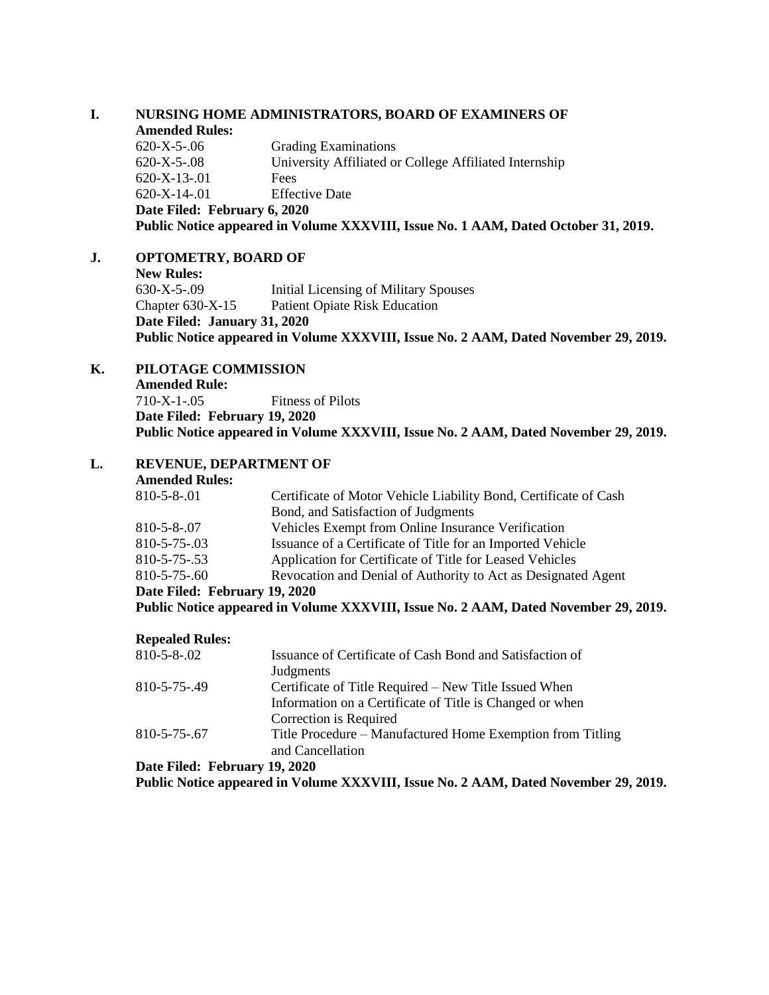### **I. NURSING HOME ADMINISTRATORS, BOARD OF EXAMINERS OF Amended Rules:**

| Public Notice appeared in Volume XXXVIII, Issue No. 1 AAM, Dated October 31, 2019. |                                                        |
|------------------------------------------------------------------------------------|--------------------------------------------------------|
| Date Filed: February 6, 2020                                                       |                                                        |
| $620 - X - 14 - 01$                                                                | <b>Effective Date</b>                                  |
| $620 - X - 13 - 01$                                                                | Fees                                                   |
| $620 - X - 5 - 08$                                                                 | University Affiliated or College Affiliated Internship |
| $620 - X - 5 - 06$                                                                 | <b>Grading Examinations</b>                            |

## **J. OPTOMETRY, BOARD OF**

| <b>New Rules:</b>                                                                   |                                       |
|-------------------------------------------------------------------------------------|---------------------------------------|
| $630 - X - 5 - 09$                                                                  | Initial Licensing of Military Spouses |
| Chapter $630-X-15$                                                                  | Patient Opiate Risk Education         |
| Date Filed: January 31, 2020                                                        |                                       |
| Public Notice appeared in Volume XXXVIII, Issue No. 2 AAM, Dated November 29, 2019. |                                       |

# **K. PILOTAGE COMMISSION**

**Amended Rule:** 710-X-1-.05 Fitness of Pilots **Date Filed: February 19, 2020 Public Notice appeared in Volume XXXVIII, Issue No. 2 AAM, Dated November 29, 2019.**

# **L. REVENUE, DEPARTMENT OF**

| <b>Amended Rules:</b> |  |
|-----------------------|--|
|-----------------------|--|

| Date Filed: February 19, 2020 |                                                                  |
|-------------------------------|------------------------------------------------------------------|
| 810-5-75-.60                  | Revocation and Denial of Authority to Act as Designated Agent    |
| 810-5-75-.53                  | Application for Certificate of Title for Leased Vehicles         |
| 810-5-75-.03                  | Issuance of a Certificate of Title for an Imported Vehicle       |
| 810-5-8-.07                   | Vehicles Exempt from Online Insurance Verification               |
|                               | Bond, and Satisfaction of Judgments                              |
| 810-5-8-.01                   | Certificate of Motor Vehicle Liability Bond, Certificate of Cash |
|                               |                                                                  |

**Public Notice appeared in Volume XXXVIII, Issue No. 2 AAM, Dated November 29, 2019.**

#### **Repealed Rules:**

| 810-5-8-.02  | Issuance of Certificate of Cash Bond and Satisfaction of   |
|--------------|------------------------------------------------------------|
|              | Judgments                                                  |
| 810-5-75-.49 | Certificate of Title Required – New Title Issued When      |
|              | Information on a Certificate of Title is Changed or when   |
|              | Correction is Required                                     |
| 810-5-75-.67 | Title Procedure – Manufactured Home Exemption from Titling |
|              | and Cancellation                                           |
|              |                                                            |

**Date Filed: February 19, 2020**

**Public Notice appeared in Volume XXXVIII, Issue No. 2 AAM, Dated November 29, 2019.**